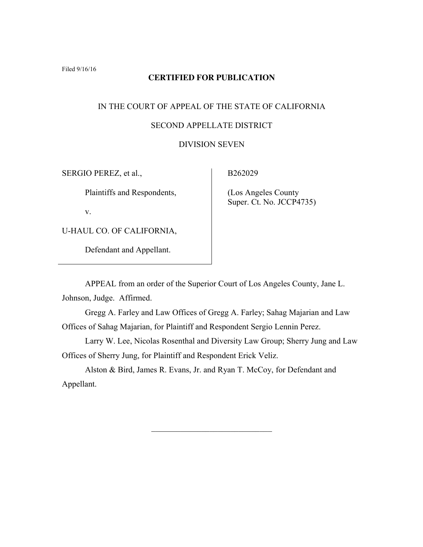## **CERTIFIED FOR PUBLICATION**

# IN THE COURT OF APPEAL OF THE STATE OF CALIFORNIA SECOND APPELLATE DISTRICT

# DIVISION SEVEN

SERGIO PEREZ, et al.,

Plaintiffs and Respondents,

v.

U-HAUL CO. OF CALIFORNIA,

Defendant and Appellant.

B262029

 (Los Angeles County Super. Ct. No. JCCP4735)

APPEAL from an order of the Superior Court of Los Angeles County, Jane L.

Johnson, Judge. Affirmed.

Gregg A. Farley and Law Offices of Gregg A. Farley; Sahag Majarian and Law Offices of Sahag Majarian, for Plaintiff and Respondent Sergio Lennin Perez.

Larry W. Lee, Nicolas Rosenthal and Diversity Law Group; Sherry Jung and Law Offices of Sherry Jung, for Plaintiff and Respondent Erick Veliz.

 $\mathcal{L}_\text{max}$  , where  $\mathcal{L}_\text{max}$  , we have the set of  $\mathcal{L}_\text{max}$ 

Alston & Bird, James R. Evans, Jr. and Ryan T. McCoy, for Defendant and Appellant.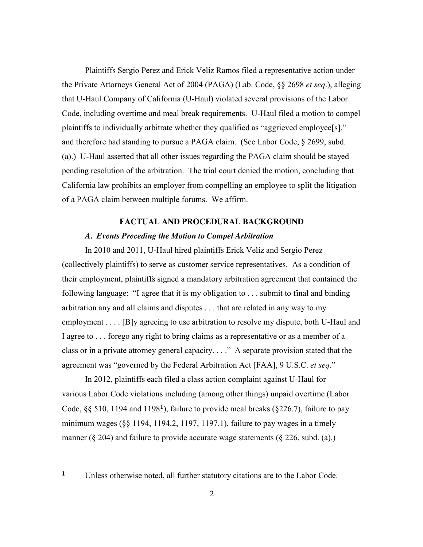Plaintiffs Sergio Perez and Erick Veliz Ramos filed a representative action under the Private Attorneys General Act of 2004 (PAGA) (Lab. Code, §§ 2698 *et seq*.), alleging that U-Haul Company of California (U-Haul) violated several provisions of the Labor Code, including overtime and meal break requirements. U-Haul filed a motion to compel plaintiffs to individually arbitrate whether they qualified as "aggrieved employee[s]," and therefore had standing to pursue a PAGA claim. (See Labor Code, § 2699, subd. (a).) U-Haul asserted that all other issues regarding the PAGA claim should be stayed pending resolution of the arbitration. The trial court denied the motion, concluding that California law prohibits an employer from compelling an employee to split the litigation of a PAGA claim between multiple forums. We affirm.

## **FACTUAL AND PROCEDURAL BACKGROUND**

## *A. Events Preceding the Motion to Compel Arbitration*

In 2010 and 2011, U-Haul hired plaintiffs Erick Veliz and Sergio Perez (collectively plaintiffs) to serve as customer service representatives. As a condition of their employment, plaintiffs signed a mandatory arbitration agreement that contained the following language: "I agree that it is my obligation to . . . submit to final and binding arbitration any and all claims and disputes . . . that are related in any way to my employment . . . . [B]y agreeing to use arbitration to resolve my dispute, both U-Haul and I agree to . . . forego any right to bring claims as a representative or as a member of a class or in a private attorney general capacity. . . ." A separate provision stated that the agreement was "governed by the Federal Arbitration Act [FAA], 9 U.S.C. *et seq*."

In 2012, plaintiffs each filed a class action complaint against U-Haul for various Labor Code violations including (among other things) unpaid overtime (Labor Code, §§ 510, 1194 and 1198**1**), failure to provide meal breaks (§226.7), failure to pay minimum wages (§§ 1194, 1194.2, 1197, 1197.1), failure to pay wages in a timely manner ( $\S 204$ ) and failure to provide accurate wage statements ( $\S 226$ , subd. (a).)

**<sup>1</sup>** Unless otherwise noted, all further statutory citations are to the Labor Code.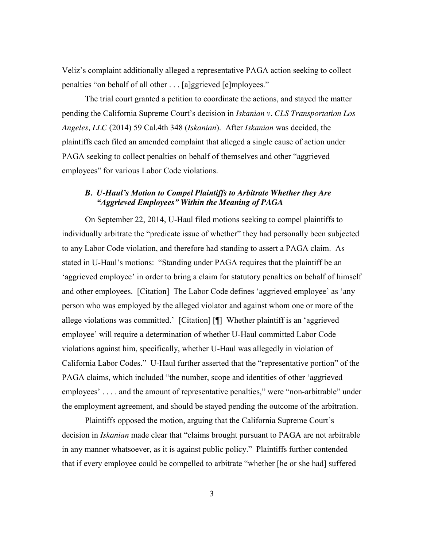Veliz's complaint additionally alleged a representative PAGA action seeking to collect penalties "on behalf of all other . . . [a]ggrieved [e]mployees."

The trial court granted a petition to coordinate the actions, and stayed the matter pending the California Supreme Court's decision in *Iskanian v. CLS Transportation Los Angeles, LLC* (2014) 59 Cal.4th 348 (*Iskanian*). After *Iskanian* was decided, the plaintiffs each filed an amended complaint that alleged a single cause of action under PAGA seeking to collect penalties on behalf of themselves and other "aggrieved employees" for various Labor Code violations.

## *B. U-Haul's Motion to Compel Plaintiffs to Arbitrate Whether they Are "Aggrieved Employees" Within the Meaning of PAGA*

On September 22, 2014, U-Haul filed motions seeking to compel plaintiffs to individually arbitrate the "predicate issue of whether" they had personally been subjected to any Labor Code violation, and therefore had standing to assert a PAGA claim. As stated in U-Haul's motions: "Standing under PAGA requires that the plaintiff be an 'aggrieved employee' in order to bring a claim for statutory penalties on behalf of himself and other employees. [Citation] The Labor Code defines 'aggrieved employee' as 'any person who was employed by the alleged violator and against whom one or more of the allege violations was committed.' [Citation] [¶] Whether plaintiff is an 'aggrieved employee' will require a determination of whether U-Haul committed Labor Code violations against him, specifically, whether U-Haul was allegedly in violation of California Labor Codes." U-Haul further asserted that the "representative portion" of the PAGA claims, which included "the number, scope and identities of other 'aggrieved employees' . . . . and the amount of representative penalties," were "non-arbitrable" under the employment agreement, and should be stayed pending the outcome of the arbitration.

Plaintiffs opposed the motion, arguing that the California Supreme Court's decision in *Iskanian* made clear that "claims brought pursuant to PAGA are not arbitrable in any manner whatsoever, as it is against public policy." Plaintiffs further contended that if every employee could be compelled to arbitrate "whether [he or she had] suffered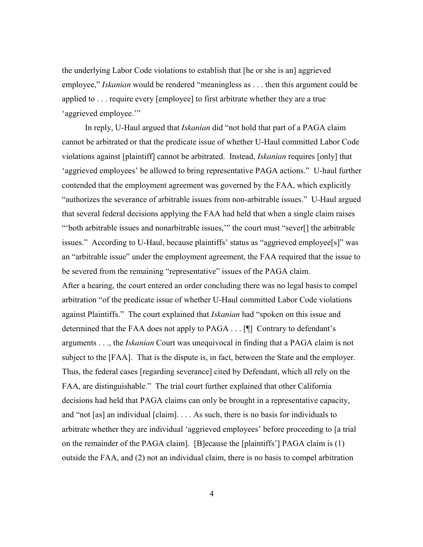the underlying Labor Code violations to establish that [he or she is an] aggrieved employee," *Iskanian* would be rendered "meaningless as . . . then this argument could be applied to . . . require every [employee] to first arbitrate whether they are a true 'aggrieved employee.'"

In reply, U-Haul argued that *Iskanian* did "not hold that part of a PAGA claim cannot be arbitrated or that the predicate issue of whether U-Haul committed Labor Code violations against [plaintiff] cannot be arbitrated. Instead, *Iskanian* requires [only] that 'aggrieved employees' be allowed to bring representative PAGA actions." U-haul further contended that the employment agreement was governed by the FAA, which explicitly "authorizes the severance of arbitrable issues from non-arbitrable issues." U-Haul argued that several federal decisions applying the FAA had held that when a single claim raises "'both arbitrable issues and nonarbitrable issues,'" the court must "sever[] the arbitrable issues." According to U-Haul, because plaintiffs' status as "aggrieved employee[s]" was an "arbitrable issue" under the employment agreement, the FAA required that the issue to be severed from the remaining "representative" issues of the PAGA claim. After a hearing, the court entered an order concluding there was no legal basis to compel arbitration "of the predicate issue of whether U-Haul committed Labor Code violations against Plaintiffs." The court explained that *Iskanian* had "spoken on this issue and determined that the FAA does not apply to PAGA . . . [¶] Contrary to defendant's arguments . . ., the *Iskanian* Court was unequivocal in finding that a PAGA claim is not subject to the [FAA]. That is the dispute is, in fact, between the State and the employer. Thus, the federal cases [regarding severance] cited by Defendant, which all rely on the FAA, are distinguishable." The trial court further explained that other California decisions had held that PAGA claims can only be brought in a representative capacity, and "not [as] an individual [claim]. . . . As such, there is no basis for individuals to arbitrate whether they are individual 'aggrieved employees' before proceeding to [a trial on the remainder of the PAGA claim]. [B]ecause the [plaintiffs'] PAGA claim is (1) outside the FAA, and (2) not an individual claim, there is no basis to compel arbitration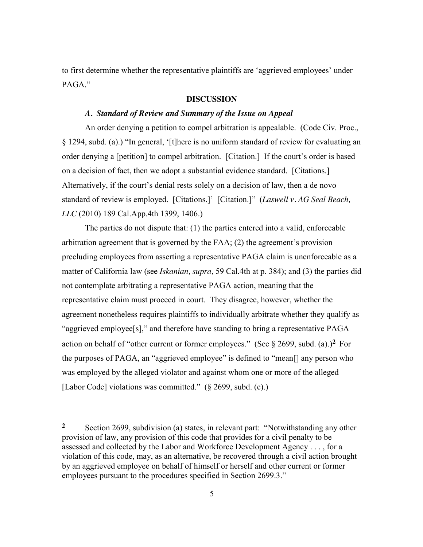to first determine whether the representative plaintiffs are 'aggrieved employees' under PAGA."

## **DISCUSSION**

#### *A. Standard of Review and Summary of the Issue on Appeal*

An order denying a petition to compel arbitration is appealable. (Code Civ. Proc., § 1294, subd. (a).) "In general, '[t]here is no uniform standard of review for evaluating an order denying a [petition] to compel arbitration. [Citation.] If the court's order is based on a decision of fact, then we adopt a substantial evidence standard. [Citations.] Alternatively, if the court's denial rests solely on a decision of law, then a de novo standard of review is employed. [Citations.]' [Citation.]" (*Laswell v. AG Seal Beach, LLC* (2010) 189 Cal.App.4th 1399, 1406.)

The parties do not dispute that: (1) the parties entered into a valid, enforceable arbitration agreement that is governed by the FAA; (2) the agreement's provision precluding employees from asserting a representative PAGA claim is unenforceable as a matter of California law (see *Iskanian, supra*, 59 Cal.4th at p. 384); and (3) the parties did not contemplate arbitrating a representative PAGA action, meaning that the representative claim must proceed in court. They disagree, however, whether the agreement nonetheless requires plaintiffs to individually arbitrate whether they qualify as "aggrieved employee[s]," and therefore have standing to bring a representative PAGA action on behalf of "other current or former employees." (See  $\S$  2699, subd. (a).)<sup>2</sup> For the purposes of PAGA, an "aggrieved employee" is defined to "mean[] any person who was employed by the alleged violator and against whom one or more of the alleged [Labor Code] violations was committed." (§ 2699, subd. (c).)

**<sup>2</sup>** Section 2699, subdivision (a) states, in relevant part: "Notwithstanding any other provision of law, any provision of this code that provides for a civil penalty to be assessed and collected by the Labor and Workforce Development Agency . . . , for a violation of this code, may, as an alternative, be recovered through a civil action brought by an aggrieved employee on behalf of himself or herself and other current or former employees pursuant to the procedures specified in Section 2699.3."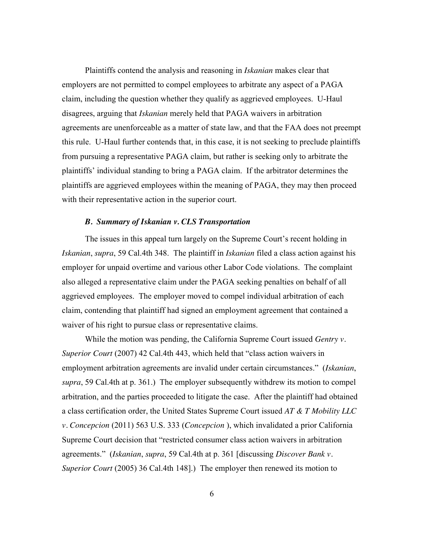Plaintiffs contend the analysis and reasoning in *Iskanian* makes clear that employers are not permitted to compel employees to arbitrate any aspect of a PAGA claim, including the question whether they qualify as aggrieved employees. U-Haul disagrees, arguing that *Iskanian* merely held that PAGA waivers in arbitration agreements are unenforceable as a matter of state law, and that the FAA does not preempt this rule. U-Haul further contends that, in this case, it is not seeking to preclude plaintiffs from pursuing a representative PAGA claim, but rather is seeking only to arbitrate the plaintiffs' individual standing to bring a PAGA claim. If the arbitrator determines the plaintiffs are aggrieved employees within the meaning of PAGA, they may then proceed with their representative action in the superior court.

#### *B. Summary of Iskanian v. CLS Transportation*

The issues in this appeal turn largely on the Supreme Court's recent holding in *Iskanian*, *supra*, 59 Cal.4th 348. The plaintiff in *Iskanian* filed a class action against his employer for unpaid overtime and various other Labor Code violations. The complaint also alleged a representative claim under the PAGA seeking penalties on behalf of all aggrieved employees. The employer moved to compel individual arbitration of each claim, contending that plaintiff had signed an employment agreement that contained a waiver of his right to pursue class or representative claims.

While the motion was pending, the California Supreme Court issued *Gentry v. Superior Court* (2007) 42 Cal.4th 443, which held that "class action waivers in employment arbitration agreements are invalid under certain circumstances." (*Iskanian*, *supra*, 59 Cal.4th at p. 361.) The employer subsequently withdrew its motion to compel arbitration, and the parties proceeded to litigate the case. After the plaintiff had obtained a class certification order, the United States Supreme Court issued *AT & T Mobility LLC v. Concepcion* (2011) 563 U.S. 333 (*Concepcion* ), which invalidated a prior California Supreme Court decision that "restricted consumer class action waivers in arbitration agreements." (*Iskanian*, *supra*, 59 Cal.4th at p. 361 [discussing *Discover Bank v. Superior Court* (2005) 36 Cal.4th 148].) The employer then renewed its motion to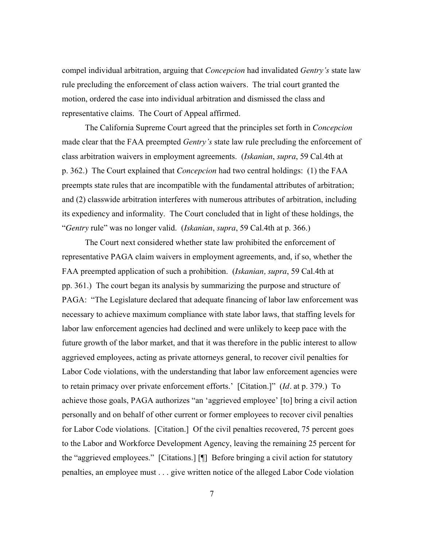compel individual arbitration, arguing that *Concepcion* had invalidated *Gentry's* state law rule precluding the enforcement of class action waivers*.* The trial court granted the motion, ordered the case into individual arbitration and dismissed the class and representative claims. The Court of Appeal affirmed.

The California Supreme Court agreed that the principles set forth in *Concepcion* made clear that the FAA preempted *Gentry's* state law rule precluding the enforcement of class arbitration waivers in employment agreements. (*Iskanian*, *supra*, 59 Cal.4th at p. 362.) The Court explained that *Concepcion* had two central holdings: (1) the FAA preempts state rules that are incompatible with the fundamental attributes of arbitration; and (2) classwide arbitration interferes with numerous attributes of arbitration, including its expediency and informality. The Court concluded that in light of these holdings, the "*Gentry* rule" was no longer valid. (*Iskanian*, *supra*, 59 Cal.4th at p. 366.)

The Court next considered whether state law prohibited the enforcement of representative PAGA claim waivers in employment agreements, and, if so, whether the FAA preempted application of such a prohibition. (*Iskanian, supra*, 59 Cal.4th at pp. 361.) The court began its analysis by summarizing the purpose and structure of PAGA: "The Legislature declared that adequate financing of labor law enforcement was necessary to achieve maximum compliance with state labor laws, that staffing levels for labor law enforcement agencies had declined and were unlikely to keep pace with the future growth of the labor market, and that it was therefore in the public interest to allow aggrieved employees, acting as private attorneys general, to recover civil penalties for Labor Code violations, with the understanding that labor law enforcement agencies were to retain primacy over private enforcement efforts.' [Citation.]" (*Id.* at p. 379.) To achieve those goals, PAGA authorizes "an 'aggrieved employee' [to] bring a civil action personally and on behalf of other current or former employees to recover civil penalties for Labor Code violations. [Citation.] Of the civil penalties recovered, 75 percent goes to the Labor and Workforce Development Agency, leaving the remaining 25 percent for the "aggrieved employees." [Citations.] [¶] Before bringing a civil action for statutory penalties, an employee must . . . give written notice of the alleged Labor Code violation

7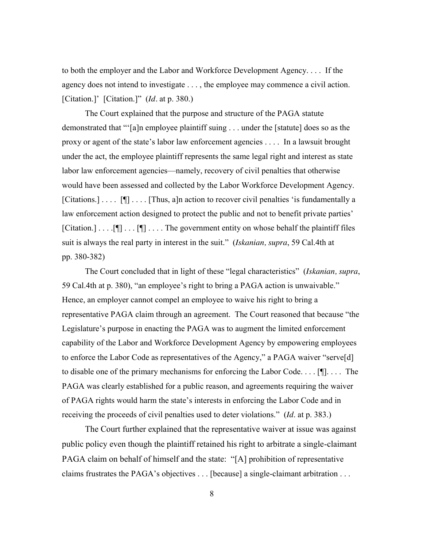to both the employer and the Labor and Workforce Development Agency. . . . If the agency does not intend to investigate . . . , the employee may commence a civil action. [Citation.]' [Citation.]" (*Id.* at p. 380.)

The Court explained that the purpose and structure of the PAGA statute demonstrated that "'[a]n employee plaintiff suing . . . under the [statute] does so as the proxy or agent of the state's labor law enforcement agencies . . . . In a lawsuit brought under the act, the employee plaintiff represents the same legal right and interest as state labor law enforcement agencies—namely, recovery of civil penalties that otherwise would have been assessed and collected by the Labor Workforce Development Agency. [Citations.] . . . . [¶] . . . . [Thus, a]n action to recover civil penalties 'is fundamentally a law enforcement action designed to protect the public and not to benefit private parties'  $[Citation.] \dots [T] \dots [T] \dots$  The government entity on whose behalf the plaintiff files suit is always the real party in interest in the suit." (*Iskanian, supra*, 59 Cal.4th at pp. 380-382)

The Court concluded that in light of these "legal characteristics" (*Iskanian, supra*, 59 Cal.4th at p. 380), "an employee's right to bring a PAGA action is unwaivable." Hence, an employer cannot compel an employee to waive his right to bring a representative PAGA claim through an agreement. The Court reasoned that because "the Legislature's purpose in enacting the PAGA was to augment the limited enforcement capability of the Labor and Workforce Development Agency by empowering employees to enforce the Labor Code as representatives of the Agency," a PAGA waiver "serve[d] to disable one of the primary mechanisms for enforcing the Labor Code. . . . [¶]. . . . The PAGA was clearly established for a public reason, and agreements requiring the waiver of PAGA rights would harm the state's interests in enforcing the Labor Code and in receiving the proceeds of civil penalties used to deter violations." (*Id*. at p. 383.)

The Court further explained that the representative waiver at issue was against public policy even though the plaintiff retained his right to arbitrate a single-claimant PAGA claim on behalf of himself and the state: "[A] prohibition of representative claims frustrates the PAGA's objectives . . . [because] a single-claimant arbitration . . .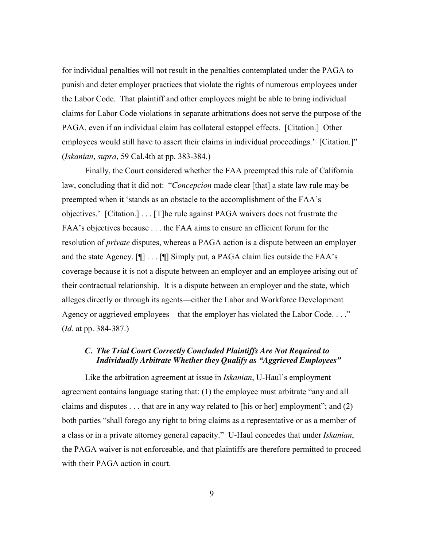for individual penalties will not result in the penalties contemplated under the PAGA to punish and deter employer practices that violate the rights of numerous employees under the Labor Code. That plaintiff and other employees might be able to bring individual claims for Labor Code violations in separate arbitrations does not serve the purpose of the PAGA, even if an individual claim has collateral estoppel effects. [Citation.] Other employees would still have to assert their claims in individual proceedings.' [Citation.]" (*Iskanian, supra*, 59 Cal.4th at pp. 383-384.)

Finally, the Court considered whether the FAA preempted this rule of California law, concluding that it did not: "*Concepcion* made clear [that] a state law rule may be preempted when it 'stands as an obstacle to the accomplishment of the FAA's objectives.' [Citation.] . . . [T]he rule against PAGA waivers does not frustrate the FAA's objectives because . . . the FAA aims to ensure an efficient forum for the resolution of *private* disputes, whereas a PAGA action is a dispute between an employer and the state Agency. [¶] . . . [¶] Simply put, a PAGA claim lies outside the FAA's coverage because it is not a dispute between an employer and an employee arising out of their contractual relationship. It is a dispute between an employer and the state, which alleges directly or through its agents—either the Labor and Workforce Development Agency or aggrieved employees—that the employer has violated the Labor Code. . . ." (*Id*. at pp. 384-387.)

# *C. The Trial Court Correctly Concluded Plaintiffs Are Not Required to Individually Arbitrate Whether they Qualify as "Aggrieved Employees"*

Like the arbitration agreement at issue in *Iskanian*, U-Haul's employment agreement contains language stating that: (1) the employee must arbitrate "any and all claims and disputes . . . that are in any way related to [his or her] employment"; and (2) both parties "shall forego any right to bring claims as a representative or as a member of a class or in a private attorney general capacity." U-Haul concedes that under *Iskanian*, the PAGA waiver is not enforceable, and that plaintiffs are therefore permitted to proceed with their PAGA action in court.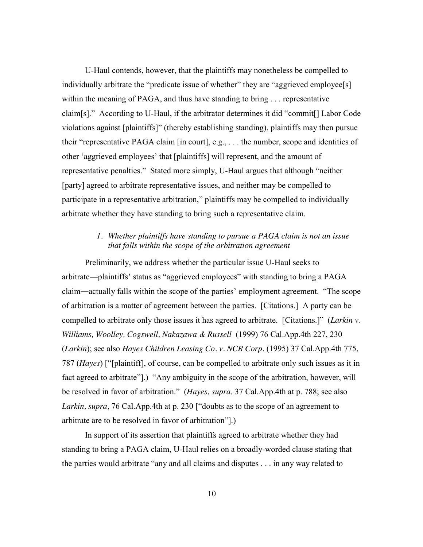U-Haul contends, however, that the plaintiffs may nonetheless be compelled to individually arbitrate the "predicate issue of whether" they are "aggrieved employee[s] within the meaning of PAGA, and thus have standing to bring . . . representative claim[s]." According to U-Haul, if the arbitrator determines it did "commit[] Labor Code violations against [plaintiffs]" (thereby establishing standing), plaintiffs may then pursue their "representative PAGA claim [in court], e.g., . . . the number, scope and identities of other 'aggrieved employees' that [plaintiffs] will represent, and the amount of representative penalties." Stated more simply, U-Haul argues that although "neither [party] agreed to arbitrate representative issues, and neither may be compelled to participate in a representative arbitration," plaintiffs may be compelled to individually arbitrate whether they have standing to bring such a representative claim.

# *1. Whether plaintiffs have standing to pursue a PAGA claim is not an issue that falls within the scope of the arbitration agreement*

Preliminarily, we address whether the particular issue U-Haul seeks to arbitrate―plaintiffs' status as "aggrieved employees" with standing to bring a PAGA claim―actually falls within the scope of the parties' employment agreement. "The scope of arbitration is a matter of agreement between the parties. [Citations.] A party can be compelled to arbitrate only those issues it has agreed to arbitrate. [Citations.]" (*Larkin v. Williams, Woolley, Cogswell, Nakazawa & Russell* (1999) 76 Cal.App.4th 227, 230 (*Larkin*); see also *Hayes Children Leasing Co. v. NCR Corp.* (1995) 37 Cal.App.4th 775, 787 (*Hayes*) ["[plaintiff], of course, can be compelled to arbitrate only such issues as it in fact agreed to arbitrate"].) "Any ambiguity in the scope of the arbitration, however, will be resolved in favor of arbitration." (*Hayes, supra,* 37 Cal.App.4th at p. 788; see also *Larkin, supra,* 76 Cal.App.4th at p. 230 ["doubts as to the scope of an agreement to arbitrate are to be resolved in favor of arbitration"].)

In support of its assertion that plaintiffs agreed to arbitrate whether they had standing to bring a PAGA claim, U-Haul relies on a broadly-worded clause stating that the parties would arbitrate "any and all claims and disputes . . . in any way related to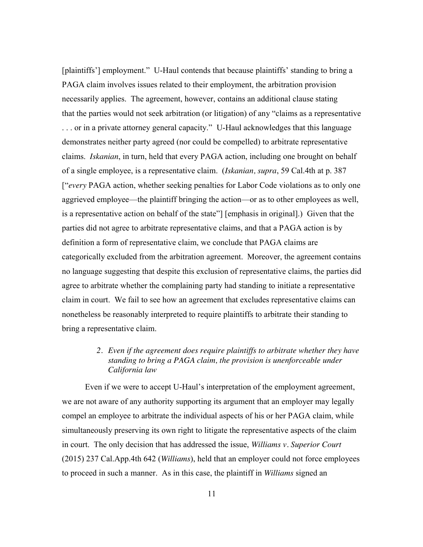[plaintiffs'] employment." U-Haul contends that because plaintiffs' standing to bring a PAGA claim involves issues related to their employment, the arbitration provision necessarily applies. The agreement, however, contains an additional clause stating that the parties would not seek arbitration (or litigation) of any "claims as a representative . . . or in a private attorney general capacity." U-Haul acknowledges that this language demonstrates neither party agreed (nor could be compelled) to arbitrate representative claims. *Iskanian*, in turn, held that every PAGA action, including one brought on behalf of a single employee, is a representative claim. (*Iskanian, supra*, 59 Cal.4th at p. 387 ["*every* PAGA action, whether seeking penalties for Labor Code violations as to only one aggrieved employee—the plaintiff bringing the action—or as to other employees as well, is a representative action on behalf of the state"] [emphasis in original].) Given that the parties did not agree to arbitrate representative claims, and that a PAGA action is by definition a form of representative claim, we conclude that PAGA claims are categorically excluded from the arbitration agreement. Moreover, the agreement contains no language suggesting that despite this exclusion of representative claims, the parties did agree to arbitrate whether the complaining party had standing to initiate a representative claim in court. We fail to see how an agreement that excludes representative claims can nonetheless be reasonably interpreted to require plaintiffs to arbitrate their standing to bring a representative claim.

# *2. Even if the agreement does require plaintiffs to arbitrate whether they have standing to bring a PAGA claim, the provision is unenforceable under California law*

Even if we were to accept U-Haul's interpretation of the employment agreement, we are not aware of any authority supporting its argument that an employer may legally compel an employee to arbitrate the individual aspects of his or her PAGA claim, while simultaneously preserving its own right to litigate the representative aspects of the claim in court. The only decision that has addressed the issue, *Williams v. Superior Court* (2015) 237 Cal.App.4th 642 (*Williams*), held that an employer could not force employees to proceed in such a manner. As in this case, the plaintiff in *Williams* signed an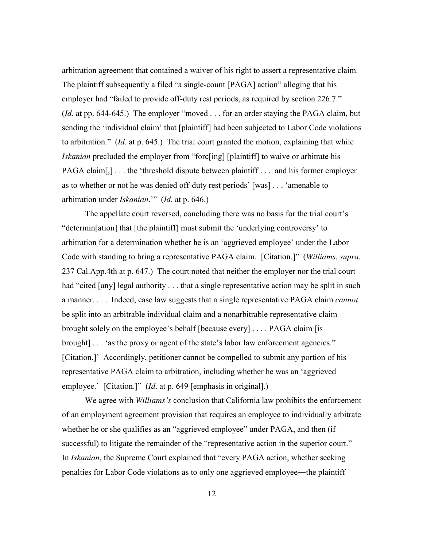arbitration agreement that contained a waiver of his right to assert a representative claim. The plaintiff subsequently a filed "a single-count [PAGA] action" alleging that his employer had "failed to provide off-duty rest periods, as required by section 226.7." (*Id*. at pp. 644-645.) The employer "moved . . . for an order staying the PAGA claim, but sending the 'individual claim' that [plaintiff] had been subjected to Labor Code violations to arbitration." (*Id*. at p. 645.) The trial court granted the motion, explaining that while *Iskanian* precluded the employer from "forc[ing] [plaintiff] to waive or arbitrate his PAGA claim[,] . . . the 'threshold dispute between plaintiff . . . and his former employer as to whether or not he was denied off-duty rest periods' [was] . . . 'amenable to arbitration under *Iskanian*.'" (*Id*. at p. 646.)

The appellate court reversed, concluding there was no basis for the trial court's "determin[ation] that [the plaintiff] must submit the 'underlying controversy' to arbitration for a determination whether he is an 'aggrieved employee' under the Labor Code with standing to bring a representative PAGA claim. [Citation.]" (*Williams, supra,*  237 Cal.App.4th at p. 647.) The court noted that neither the employer nor the trial court had "cited [any] legal authority . . . that a single representative action may be split in such a manner. . . . Indeed, case law suggests that a single representative PAGA claim *cannot* be split into an arbitrable individual claim and a nonarbitrable representative claim brought solely on the employee's behalf [because every] . . . . PAGA claim [is brought] . . . 'as the proxy or agent of the state's labor law enforcement agencies." [Citation.]' Accordingly, petitioner cannot be compelled to submit any portion of his representative PAGA claim to arbitration, including whether he was an 'aggrieved employee.' [Citation.]" (*Id.* at p. 649 [emphasis in original].)

We agree with *Williams's* conclusion that California law prohibits the enforcement of an employment agreement provision that requires an employee to individually arbitrate whether he or she qualifies as an "aggrieved employee" under PAGA, and then (if successful) to litigate the remainder of the "representative action in the superior court." In *Iskanian*, the Supreme Court explained that "every PAGA action, whether seeking penalties for Labor Code violations as to only one aggrieved employee―the plaintiff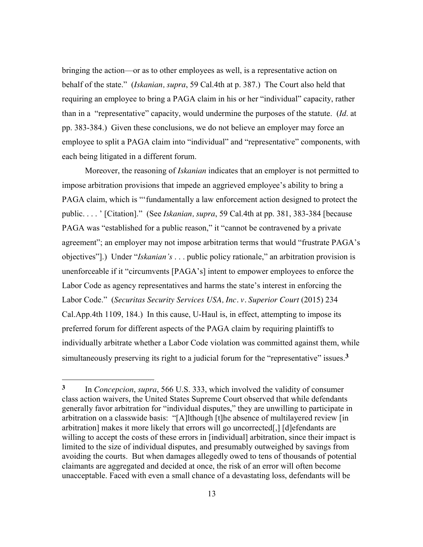bringing the action—or as to other employees as well, is a representative action on behalf of the state." (*Iskanian, supra*, 59 Cal.4th at p. 387.) The Court also held that requiring an employee to bring a PAGA claim in his or her "individual" capacity, rather than in a "representative" capacity, would undermine the purposes of the statute. (*Id*. at pp. 383-384.) Given these conclusions, we do not believe an employer may force an employee to split a PAGA claim into "individual" and "representative" components, with each being litigated in a different forum.

Moreover, the reasoning of *Iskanian* indicates that an employer is not permitted to impose arbitration provisions that impede an aggrieved employee's ability to bring a PAGA claim, which is "'fundamentally a law enforcement action designed to protect the public. . . . ' [Citation]." (See *Iskanian, supra*, 59 Cal.4th at pp. 381, 383-384 [because PAGA was "established for a public reason," it "cannot be contravened by a private agreement"; an employer may not impose arbitration terms that would "frustrate PAGA's objectives"].) Under "*Iskanian's* . . . public policy rationale," an arbitration provision is unenforceable if it "circumvents [PAGA's] intent to empower employees to enforce the Labor Code as agency representatives and harms the state's interest in enforcing the Labor Code." (*Securitas Security Services USA, Inc. v. Superior Court* (2015) 234 Cal.App.4th 1109, 184.) In this cause, U-Haul is, in effect, attempting to impose its preferred forum for different aspects of the PAGA claim by requiring plaintiffs to individually arbitrate whether a Labor Code violation was committed against them, while simultaneously preserving its right to a judicial forum for the "representative" issues.**3**

**<sup>3</sup>** In *Concepcion*, *supra*, 566 U.S. 333, which involved the validity of consumer class action waivers, the United States Supreme Court observed that while defendants generally favor arbitration for "individual disputes," they are unwilling to participate in arbitration on a classwide basis: "[A]lthough [t]he absence of multilayered review [in arbitration] makes it more likely that errors will go uncorrected[,] [d]efendants are willing to accept the costs of these errors in [individual] arbitration, since their impact is limited to the size of individual disputes, and presumably outweighed by savings from avoiding the courts. But when damages allegedly owed to tens of thousands of potential claimants are aggregated and decided at once, the risk of an error will often become unacceptable. Faced with even a small chance of a devastating loss, defendants will be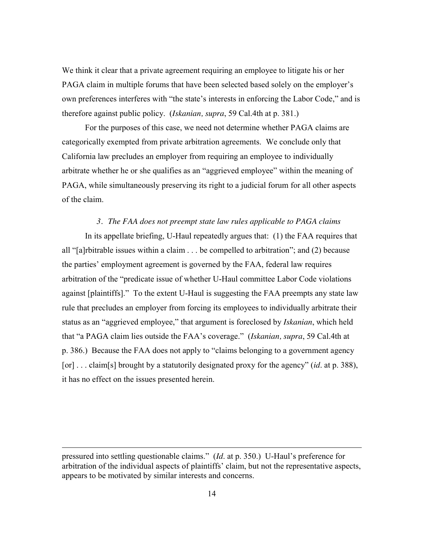We think it clear that a private agreement requiring an employee to litigate his or her PAGA claim in multiple forums that have been selected based solely on the employer's own preferences interferes with "the state's interests in enforcing the Labor Code," and is therefore against public policy. (*Iskanian, supra*, 59 Cal.4th at p. 381.)

For the purposes of this case, we need not determine whether PAGA claims are categorically exempted from private arbitration agreements. We conclude only that California law precludes an employer from requiring an employee to individually arbitrate whether he or she qualifies as an "aggrieved employee" within the meaning of PAGA, while simultaneously preserving its right to a judicial forum for all other aspects of the claim.

#### *3. The FAA does not preempt state law rules applicable to PAGA claims*

In its appellate briefing, U-Haul repeatedly argues that: (1) the FAA requires that all "[a]rbitrable issues within a claim . . . be compelled to arbitration"; and (2) because the parties' employment agreement is governed by the FAA, federal law requires arbitration of the "predicate issue of whether U-Haul committee Labor Code violations against [plaintiffs]." To the extent U-Haul is suggesting the FAA preempts any state law rule that precludes an employer from forcing its employees to individually arbitrate their status as an "aggrieved employee," that argument is foreclosed by *Iskanian*, which held that "a PAGA claim lies outside the FAA's coverage." (*Iskanian, supra*, 59 Cal.4th at p. 386.) Because the FAA does not apply to "claims belonging to a government agency [or] . . . claim[s] brought by a statutorily designated proxy for the agency" (*id*. at p. 388), it has no effect on the issues presented herein.

pressured into settling questionable claims." (*Id*. at p. 350.) U-Haul's preference for arbitration of the individual aspects of plaintiffs' claim, but not the representative aspects, appears to be motivated by similar interests and concerns.